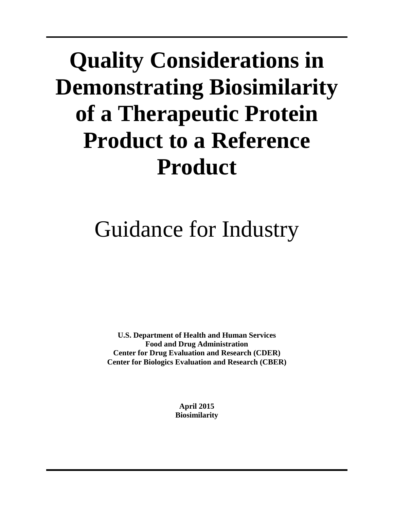# **Quality Considerations in Demonstrating Biosimilarity of a Therapeutic Protein Product to a Reference Product**

## Guidance for Industry

**U.S. Department of Health and Human Services Food and Drug Administration Center for Drug Evaluation and Research (CDER) Center for Biologics Evaluation and Research (CBER)**

> **April 2015 Biosimilarity**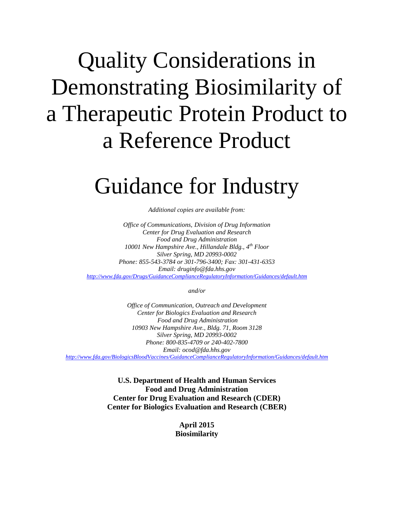# Quality Considerations in Demonstrating Biosimilarity of a Therapeutic Protein Product to a Reference Product

## Guidance for Industry

*Additional copies are available from:*

*Office of Communications, Division of Drug Information Center for Drug Evaluation and Research Food and Drug Administration 10001 New Hampshire Ave., Hillandale Bldg., 4th Floor Silver Spring, MD 20993-0002 Phone: 855-543-3784 or 301-796-3400; Fax: 301-431-6353 Email: druginfo@fda.hhs.gov <http://www.fda.gov/Drugs/GuidanceComplianceRegulatoryInformation/Guidances/default.htm>*

*and/or*

*Office of Communication, Outreach and Development Center for Biologics Evaluation and Research Food and Drug Administration 10903 New Hampshire Ave., Bldg. 71, Room 3128 Silver Spring, MD 20993-0002 Phone: 800-835-4709 or 240-402-7800 Email: ocod@fda.hhs.gov <http://www.fda.gov/BiologicsBloodVaccines/GuidanceComplianceRegulatoryInformation/Guidances/default.htm>* 

> **U.S. Department of Health and Human Services Food and Drug Administration Center for Drug Evaluation and Research (CDER) Center for Biologics Evaluation and Research (CBER)**

> > **April 2015 Biosimilarity**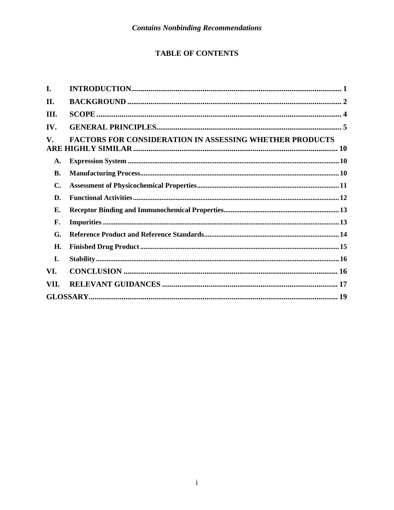#### **TABLE OF CONTENTS**

| I.                     |                                                                |
|------------------------|----------------------------------------------------------------|
| II.                    |                                                                |
| Ш.                     |                                                                |
| IV.                    |                                                                |
| $\mathbf{V}_{\bullet}$ | <b>FACTORS FOR CONSIDERATION IN ASSESSING WHETHER PRODUCTS</b> |
| A.                     |                                                                |
| В.                     |                                                                |
| $\mathbf{C}$ .         |                                                                |
| D.                     |                                                                |
| E.                     |                                                                |
| F.                     |                                                                |
| G.                     |                                                                |
| Н.                     |                                                                |
| I.                     |                                                                |
| VI.                    |                                                                |
| VII.                   |                                                                |
|                        |                                                                |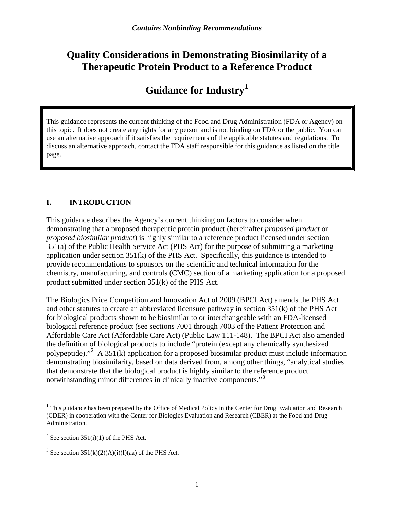### **Quality Considerations in Demonstrating Biosimilarity of a Therapeutic Protein Product to a Reference Product**

### **Guidance for Industry[1](#page-3-0)**

This guidance represents the current thinking of the Food and Drug Administration (FDA or Agency) on this topic. It does not create any rights for any person and is not binding on FDA or the public. You can use an alternative approach if it satisfies the requirements of the applicable statutes and regulations. To discuss an alternative approach, contact the FDA staff responsible for this guidance as listed on the title page.

#### **I. INTRODUCTION**

This guidance describes the Agency's current thinking on factors to consider when demonstrating that a proposed therapeutic protein product (hereinafter *proposed product* or *proposed biosimilar product*) is highly similar to a reference product licensed under section 351(a) of the Public Health Service Act (PHS Act) for the purpose of submitting a marketing application under section 351(k) of the PHS Act. Specifically, this guidance is intended to provide recommendations to sponsors on the scientific and technical information for the chemistry, manufacturing, and controls (CMC) section of a marketing application for a proposed product submitted under section 351(k) of the PHS Act.

The Biologics Price Competition and Innovation Act of 2009 (BPCI Act) amends the PHS Act and other statutes to create an abbreviated licensure pathway in section 351(k) of the PHS Act for biological products shown to be biosimilar to or interchangeable with an FDA-licensed biological reference product (see sections 7001 through 7003 of the Patient Protection and Affordable Care Act (Affordable Care Act) (Public Law 111-148). The BPCI Act also amended the definition of biological products to include "protein (except any chemically synthesized polypeptide)."<sup>[2](#page-3-1)</sup> A 351(k) application for a proposed biosimilar product must include information demonstrating biosimilarity, based on data derived from, among other things, "analytical studies that demonstrate that the biological product is highly similar to the reference product notwithstanding minor differences in clinically inactive components."[3](#page-3-2)

<span id="page-3-0"></span><sup>&</sup>lt;sup>1</sup> This guidance has been prepared by the Office of Medical Policy in the Center for Drug Evaluation and Research (CDER) in cooperation with the Center for Biologics Evaluation and Research (CBER) at the Food and Drug Administration.

<span id="page-3-1"></span><sup>&</sup>lt;sup>2</sup> See section 351(i)(1) of the PHS Act.

<span id="page-3-2"></span><sup>&</sup>lt;sup>3</sup> See section 351(k)(2)(A)(i)(I)(aa) of the PHS Act.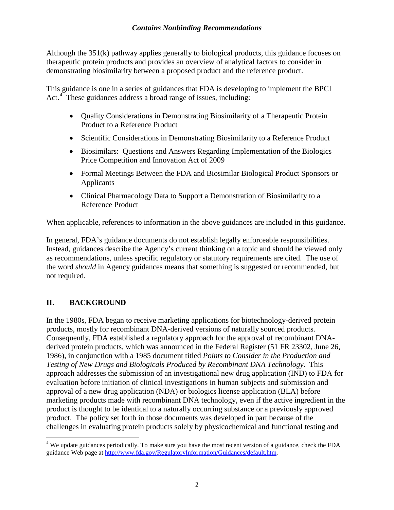Although the 351(k) pathway applies generally to biological products, this guidance focuses on therapeutic protein products and provides an overview of analytical factors to consider in demonstrating biosimilarity between a proposed product and the reference product.

This guidance is one in a series of guidances that FDA is developing to implement the BPCI Act.<sup>[4](#page-4-0)</sup> These guidances address a broad range of issues, including:

- Quality Considerations in Demonstrating Biosimilarity of a Therapeutic Protein Product to a Reference Product
- Scientific Considerations in Demonstrating Biosimilarity to a Reference Product
- Biosimilars: Questions and Answers Regarding Implementation of the Biologics Price Competition and Innovation Act of 2009
- Formal Meetings Between the FDA and Biosimilar Biological Product Sponsors or **Applicants**
- Clinical Pharmacology Data to Support a Demonstration of Biosimilarity to a Reference Product

When applicable, references to information in the above guidances are included in this guidance.

In general, FDA's guidance documents do not establish legally enforceable responsibilities. Instead, guidances describe the Agency's current thinking on a topic and should be viewed only as recommendations, unless specific regulatory or statutory requirements are cited. The use of the word *should* in Agency guidances means that something is suggested or recommended, but not required.

#### **II. BACKGROUND**

In the 1980s, FDA began to receive marketing applications for biotechnology-derived protein products, mostly for recombinant DNA-derived versions of naturally sourced products. Consequently, FDA established a regulatory approach for the approval of recombinant DNAderived protein products, which was announced in the Federal Register (51 FR 23302, June 26, 1986), in conjunction with a 1985 document titled *Points to Consider in the Production and Testing of New Drugs and Biologicals Produced by Recombinant DNA Technology.* This approach addresses the submission of an investigational new drug application (IND) to FDA for evaluation before initiation of clinical investigations in human subjects and submission and approval of a new drug application (NDA) or biologics license application (BLA) before marketing products made with recombinant DNA technology, even if the active ingredient in the product is thought to be identical to a naturally occurring substance or a previously approved product. The policy set forth in those documents was developed in part because of the challenges in evaluating protein products solely by physicochemical and functional testing and

<span id="page-4-0"></span><sup>&</sup>lt;sup>4</sup> We update guidances periodically. To make sure you have the most recent version of a guidance, check the FDA guidance Web page at [http://www.fda.gov/RegulatoryInformation/Guidances/default.htm.](http://www.fda.gov/RegulatoryInformation/Guidances/default.htm)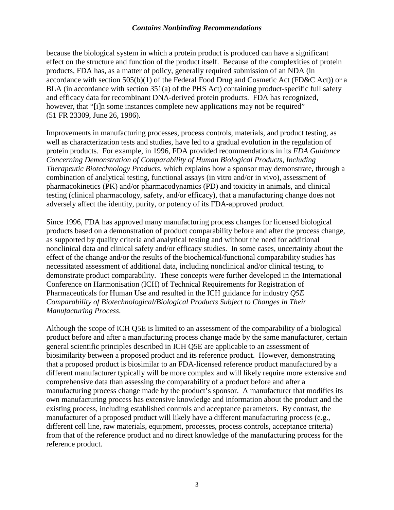because the biological system in which a protein product is produced can have a significant effect on the structure and function of the product itself. Because of the complexities of protein products, FDA has, as a matter of policy, generally required submission of an NDA (in accordance with section 505(b)(1) of the Federal Food Drug and Cosmetic Act (FD&C Act)) or a BLA (in accordance with section 351(a) of the PHS Act) containing product-specific full safety and efficacy data for recombinant DNA-derived protein products. FDA has recognized, however, that "[i]n some instances complete new applications may not be required" (51 FR 23309, June 26, 1986).

Improvements in manufacturing processes, process controls, materials, and product testing, as well as characterization tests and studies, have led to a gradual evolution in the regulation of protein products. For example, in 1996, FDA provided recommendations in its *FDA Guidance Concerning Demonstration of Comparability of Human Biological Products, Including Therapeutic Biotechnology Products*, which explains how a sponsor may demonstrate, through a combination of analytical testing, functional assays (in vitro and/or in vivo), assessment of pharmacokinetics (PK) and/or pharmacodynamics (PD) and toxicity in animals, and clinical testing (clinical pharmacology, safety, and/or efficacy), that a manufacturing change does not adversely affect the identity, purity, or potency of its FDA-approved product.

Since 1996, FDA has approved many manufacturing process changes for licensed biological products based on a demonstration of product comparability before and after the process change, as supported by quality criteria and analytical testing and without the need for additional nonclinical data and clinical safety and/or efficacy studies. In some cases, uncertainty about the effect of the change and/or the results of the biochemical/functional comparability studies has necessitated assessment of additional data, including nonclinical and/or clinical testing, to demonstrate product comparability. These concepts were further developed in the International Conference on Harmonisation (ICH) of Technical Requirements for Registration of Pharmaceuticals for Human Use and resulted in the ICH guidance for industry *Q5E Comparability of Biotechnological/Biological Products Subject to Changes in Their Manufacturing Process*.

Although the scope of ICH Q5E is limited to an assessment of the comparability of a biological product before and after a manufacturing process change made by the same manufacturer, certain general scientific principles described in ICH Q5E are applicable to an assessment of biosimilarity between a proposed product and its reference product. However, demonstrating that a proposed product is biosimilar to an FDA-licensed reference product manufactured by a different manufacturer typically will be more complex and will likely require more extensive and comprehensive data than assessing the comparability of a product before and after a manufacturing process change made by the product's sponsor. A manufacturer that modifies its own manufacturing process has extensive knowledge and information about the product and the existing process, including established controls and acceptance parameters. By contrast, the manufacturer of a proposed product will likely have a different manufacturing process (e.g., different cell line, raw materials, equipment, processes, process controls, acceptance criteria) from that of the reference product and no direct knowledge of the manufacturing process for the reference product.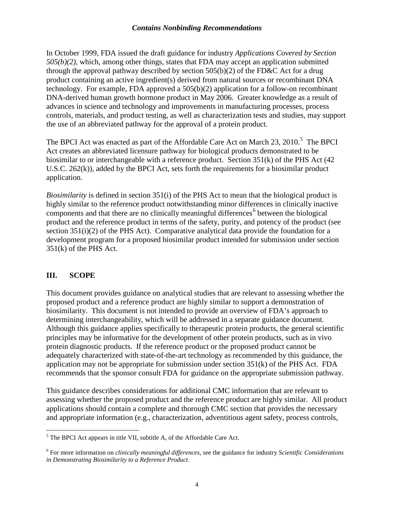In October 1999, FDA issued the draft guidance for industry *Applications Covered by Section 505(b)(2)*, which, among other things, states that FDA may accept an application submitted through the approval pathway described by section 505(b)(2) of the FD&C Act for a drug product containing an active ingredient(s) derived from natural sources or recombinant DNA technology. For example, FDA approved a 505(b)(2) application for a follow-on recombinant DNA-derived human growth hormone product in May 2006. Greater knowledge as a result of advances in science and technology and improvements in manufacturing processes, process controls, materials, and product testing, as well as characterization tests and studies, may support the use of an abbreviated pathway for the approval of a protein product.

The BPCI Act was enacted as part of the Affordable Care Act on March 23, 2010.<sup>[5](#page-6-0)</sup> The BPCI Act creates an abbreviated licensure pathway for biological products demonstrated to be biosimilar to or interchangeable with a reference product. Section 351(k) of the PHS Act (42 U.S.C. 262(k)), added by the BPCI Act, sets forth the requirements for a biosimilar product application.

*Biosimilarity* is defined in section 351(i) of the PHS Act to mean that the biological product is highly similar to the reference product notwithstanding minor differences in clinically inactive components and that there are no clinically meaningful differences<sup> $6$ </sup> between the biological product and the reference product in terms of the safety, purity, and potency of the product (see section 351(i)(2) of the PHS Act). Comparative analytical data provide the foundation for a development program for a proposed biosimilar product intended for submission under section 351(k) of the PHS Act.

#### **III. SCOPE**

This document provides guidance on analytical studies that are relevant to assessing whether the proposed product and a reference product are highly similar to support a demonstration of biosimilarity. This document is not intended to provide an overview of FDA's approach to determining interchangeability, which will be addressed in a separate guidance document. Although this guidance applies specifically to therapeutic protein products, the general scientific principles may be informative for the development of other protein products, such as in vivo protein diagnostic products. If the reference product or the proposed product cannot be adequately characterized with state-of-the-art technology as recommended by this guidance, the application may not be appropriate for submission under section 351(k) of the PHS Act. FDA recommends that the sponsor consult FDA for guidance on the appropriate submission pathway.

This guidance describes considerations for additional CMC information that are relevant to assessing whether the proposed product and the reference product are highly similar. All product applications should contain a complete and thorough CMC section that provides the necessary and appropriate information (e.g., characterization, adventitious agent safety, process controls,

<span id="page-6-0"></span><sup>&</sup>lt;sup>5</sup> The BPCI Act appears in title VII, subtitle A, of the Affordable Care Act.

<span id="page-6-1"></span><sup>6</sup> For more information on *clinically meaningful differences*, see the guidance for industry *Scientific Considerations in Demonstrating Biosimilarity to a Reference Product*.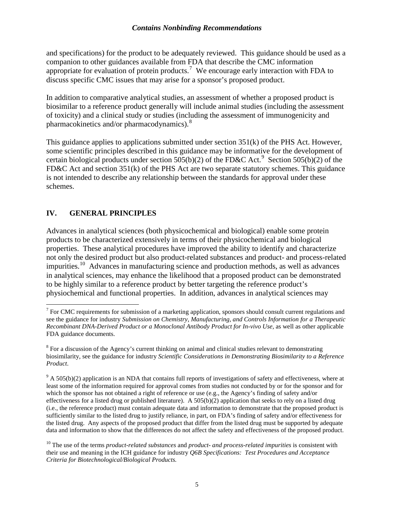and specifications) for the product to be adequately reviewed. This guidance should be used as a companion to other guidances available from FDA that describe the CMC information appropriate for evaluation of protein products.<sup>[7](#page-7-0)</sup> We encourage early interaction with FDA to discuss specific CMC issues that may arise for a sponsor's proposed product.

In addition to comparative analytical studies, an assessment of whether a proposed product is biosimilar to a reference product generally will include animal studies (including the assessment of toxicity) and a clinical study or studies (including the assessment of immunogenicity and pharmacokinetics and/or pharmacodynamics).[8](#page-7-1)

This guidance applies to applications submitted under section 351(k) of the PHS Act. However, some scientific principles described in this guidance may be informative for the development of certain biological products under section  $505(b)(2)$  of the FD&C Act.<sup>[9](#page-7-2)</sup> Section  $505(b)(2)$  of the FD&C Act and section 351(k) of the PHS Act are two separate statutory schemes. This guidance is not intended to describe any relationship between the standards for approval under these schemes.

#### **IV. GENERAL PRINCIPLES**

Advances in analytical sciences (both physicochemical and biological) enable some protein products to be characterized extensively in terms of their physicochemical and biological properties. These analytical procedures have improved the ability to identify and characterize not only the desired product but also product-related substances and product- and process-related  $\mu$ impurities.<sup>[10](#page-7-3)</sup> Advances in manufacturing science and production methods, as well as advances in analytical sciences, may enhance the likelihood that a proposed product can be demonstrated to be highly similar to a reference product by better targeting the reference product's physiochemical and functional properties. In addition, advances in analytical sciences may

<span id="page-7-0"></span> $7$  For CMC requirements for submission of a marketing application, sponsors should consult current regulations and see the guidance for industry *Submission on Chemistry, Manufacturing, and Controls Information for a Therapeutic Recombinant DNA-Derived Product or a Monoclonal Antibody Product for In-vivo Use,* as well as other applicable FDA guidance documents.

<span id="page-7-1"></span><sup>&</sup>lt;sup>8</sup> For a discussion of the Agency's current thinking on animal and clinical studies relevant to demonstrating biosimilarity, see the guidance for industry *Scientific Considerations in Demonstrating Biosimilarity to a Reference Product*.

<span id="page-7-2"></span> $9$  A 505(b)(2) application is an NDA that contains full reports of investigations of safety and effectiveness, where at least some of the information required for approval comes from studies not conducted by or for the sponsor and for which the sponsor has not obtained a right of reference or use (e.g., the Agency's finding of safety and/or effectiveness for a listed drug or published literature). A 505(b)(2) application that seeks to rely on a listed drug (i.e., the reference product) must contain adequate data and information to demonstrate that the proposed product is sufficiently similar to the listed drug to justify reliance, in part, on FDA's finding of safety and/or effectiveness for the listed drug. Any aspects of the proposed product that differ from the listed drug must be supported by adequate data and information to show that the differences do not affect the safety and effectiveness of the proposed product.

<span id="page-7-3"></span><sup>10</sup> The use of the terms *product-related substances* and *product*- *and process-related impurities* is consistent with their use and meaning in the ICH guidance for industry *Q6B Specifications: Test Procedures and Acceptance Criteria for Biotechnological/Biological Products.*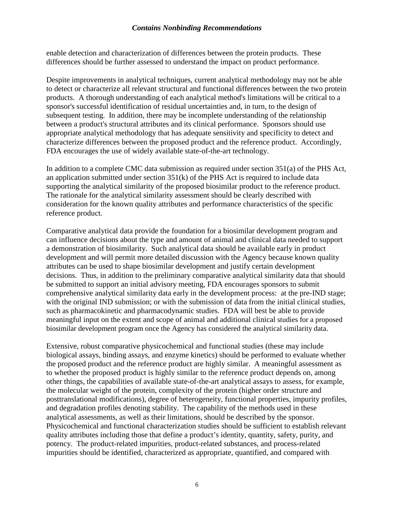enable detection and characterization of differences between the protein products. These differences should be further assessed to understand the impact on product performance.

Despite improvements in analytical techniques, current analytical methodology may not be able to detect or characterize all relevant structural and functional differences between the two protein products. A thorough understanding of each analytical method's limitations will be critical to a sponsor's successful identification of residual uncertainties and, in turn, to the design of subsequent testing. In addition, there may be incomplete understanding of the relationship between a product's structural attributes and its clinical performance. Sponsors should use appropriate analytical methodology that has adequate sensitivity and specificity to detect and characterize differences between the proposed product and the reference product. Accordingly, FDA encourages the use of widely available state-of-the-art technology.

In addition to a complete CMC data submission as required under section 351(a) of the PHS Act, an application submitted under section 351(k) of the PHS Act is required to include data supporting the analytical similarity of the proposed biosimilar product to the reference product. The rationale for the analytical similarity assessment should be clearly described with consideration for the known quality attributes and performance characteristics of the specific reference product.

Comparative analytical data provide the foundation for a biosimilar development program and can influence decisions about the type and amount of animal and clinical data needed to support a demonstration of biosimilarity. Such analytical data should be available early in product development and will permit more detailed discussion with the Agency because known quality attributes can be used to shape biosimilar development and justify certain development decisions. Thus, in addition to the preliminary comparative analytical similarity data that should be submitted to support an initial advisory meeting, FDA encourages sponsors to submit comprehensive analytical similarity data early in the development process: at the pre-IND stage; with the original IND submission; or with the submission of data from the initial clinical studies, such as pharmacokinetic and pharmacodynamic studies. FDA will best be able to provide meaningful input on the extent and scope of animal and additional clinical studies for a proposed biosimilar development program once the Agency has considered the analytical similarity data.

Extensive, robust comparative physicochemical and functional studies (these may include biological assays, binding assays, and enzyme kinetics) should be performed to evaluate whether the proposed product and the reference product are highly similar. A meaningful assessment as to whether the proposed product is highly similar to the reference product depends on, among other things, the capabilities of available state-of-the-art analytical assays to assess, for example, the molecular weight of the protein, complexity of the protein (higher order structure and posttranslational modifications), degree of heterogeneity, functional properties, impurity profiles, and degradation profiles denoting stability. The capability of the methods used in these analytical assessments, as well as their limitations, should be described by the sponsor. Physicochemical and functional characterization studies should be sufficient to establish relevant quality attributes including those that define a product's identity, quantity, safety, purity, and potency. The product-related impurities, product-related substances, and process-related impurities should be identified, characterized as appropriate, quantified, and compared with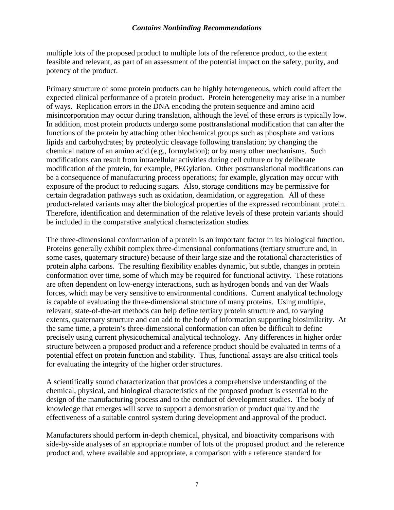multiple lots of the proposed product to multiple lots of the reference product, to the extent feasible and relevant, as part of an assessment of the potential impact on the safety, purity, and potency of the product.

Primary structure of some protein products can be highly heterogeneous, which could affect the expected clinical performance of a protein product. Protein heterogeneity may arise in a number of ways. Replication errors in the DNA encoding the protein sequence and amino acid misincorporation may occur during translation, although the level of these errors is typically low. In addition, most protein products undergo some posttranslational modification that can alter the functions of the protein by attaching other biochemical groups such as phosphate and various lipids and carbohydrates; by proteolytic cleavage following translation; by changing the chemical nature of an amino acid (e.g., formylation); or by many other mechanisms. Such modifications can result from intracellular activities during cell culture or by deliberate modification of the protein, for example, PEGylation. Other posttranslational modifications can be a consequence of manufacturing process operations; for example, glycation may occur with exposure of the product to reducing sugars. Also, storage conditions may be permissive for certain degradation pathways such as oxidation, deamidation, or aggregation. All of these product-related variants may alter the biological properties of the expressed recombinant protein. Therefore, identification and determination of the relative levels of these protein variants should be included in the comparative analytical characterization studies.

The three-dimensional conformation of a protein is an important factor in its biological function. Proteins generally exhibit complex three-dimensional conformations (tertiary structure and, in some cases, quaternary structure) because of their large size and the rotational characteristics of protein alpha carbons. The resulting flexibility enables dynamic, but subtle, changes in protein conformation over time, some of which may be required for functional activity. These rotations are often dependent on low-energy interactions, such as hydrogen bonds and van der Waals forces, which may be very sensitive to environmental conditions. Current analytical technology is capable of evaluating the three-dimensional structure of many proteins. Using multiple, relevant, state-of-the-art methods can help define tertiary protein structure and, to varying extents, quaternary structure and can add to the body of information supporting biosimilarity. At the same time, a protein's three-dimensional conformation can often be difficult to define precisely using current physicochemical analytical technology. Any differences in higher order structure between a proposed product and a reference product should be evaluated in terms of a potential effect on protein function and stability. Thus, functional assays are also critical tools for evaluating the integrity of the higher order structures.

A scientifically sound characterization that provides a comprehensive understanding of the chemical, physical, and biological characteristics of the proposed product is essential to the design of the manufacturing process and to the conduct of development studies. The body of knowledge that emerges will serve to support a demonstration of product quality and the effectiveness of a suitable control system during development and approval of the product.

Manufacturers should perform in-depth chemical, physical, and bioactivity comparisons with side-by-side analyses of an appropriate number of lots of the proposed product and the reference product and, where available and appropriate, a comparison with a reference standard for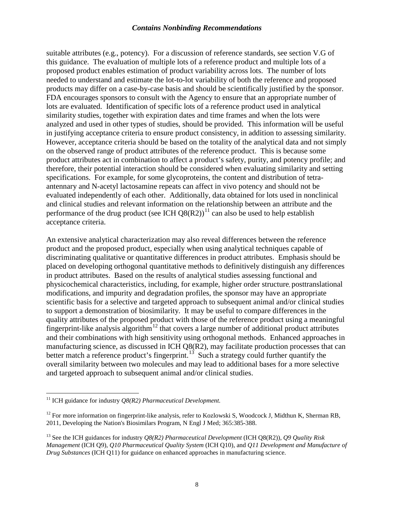suitable attributes (e.g., potency). For a discussion of reference standards, see section V.G of this guidance. The evaluation of multiple lots of a reference product and multiple lots of a proposed product enables estimation of product variability across lots. The number of lots needed to understand and estimate the lot-to-lot variability of both the reference and proposed products may differ on a case-by-case basis and should be scientifically justified by the sponsor. FDA encourages sponsors to consult with the Agency to ensure that an appropriate number of lots are evaluated. Identification of specific lots of a reference product used in analytical similarity studies, together with expiration dates and time frames and when the lots were analyzed and used in other types of studies, should be provided. This information will be useful in justifying acceptance criteria to ensure product consistency, in addition to assessing similarity. However, acceptance criteria should be based on the totality of the analytical data and not simply on the observed range of product attributes of the reference product. This is because some product attributes act in combination to affect a product's safety, purity, and potency profile; and therefore, their potential interaction should be considered when evaluating similarity and setting specifications. For example, for some glycoproteins, the content and distribution of tetraantennary and N-acetyl lactosamine repeats can affect in vivo potency and should not be evaluated independently of each other. Additionally, data obtained for lots used in nonclinical and clinical studies and relevant information on the relationship between an attribute and the performance of the drug product (see ICH  $O(10^{11} \text{ can also be used to help establish }$  $O(10^{11} \text{ can also be used to help establish }$  $O(10^{11} \text{ can also be used to help establish }$ acceptance criteria.

An extensive analytical characterization may also reveal differences between the reference product and the proposed product, especially when using analytical techniques capable of discriminating qualitative or quantitative differences in product attributes. Emphasis should be placed on developing orthogonal quantitative methods to definitively distinguish any differences in product attributes. Based on the results of analytical studies assessing functional and physicochemical characteristics, including, for example, higher order structure, posttranslational modifications, and impurity and degradation profiles, the sponsor may have an appropriate scientific basis for a selective and targeted approach to subsequent animal and/or clinical studies to support a demonstration of biosimilarity. It may be useful to compare differences in the quality attributes of the proposed product with those of the reference product using a meaningful fingerprint-like analysis algorithm<sup>[12](#page-10-1)</sup> that covers a large number of additional product attributes and their combinations with high sensitivity using orthogonal methods. Enhanced approaches in manufacturing science, as discussed in ICH Q8(R2), may facilitate production processes that can better match a reference product's fingerprint.<sup>13</sup> Such a strategy could further quantify the overall similarity between two molecules and may lead to additional bases for a more selective and targeted approach to subsequent animal and/or clinical studies.

<span id="page-10-0"></span><sup>&</sup>lt;sup>11</sup> ICH guidance for industry *Q8(R2) Pharmaceutical Development*.

<span id="page-10-1"></span><sup>&</sup>lt;sup>12</sup> For more information on fingerprint-like analysis, refer to Kozlowski S, Woodcock J, Midthun K, Sherman RB, 2011, Developing the Nation's Biosimilars Program, N Engl J Med; 365:385-388.

<span id="page-10-2"></span><sup>13</sup> See the ICH guidances for industry *Q8(R2) Pharmaceutical Development* (ICH Q8(R2)), *Q9 Quality Risk Management* (ICH Q9), *Q10 Pharmaceutical Quality System* (ICH Q10), and *Q11 Development and Manufacture of Drug Substances* (ICH Q11) for guidance on enhanced approaches in manufacturing science.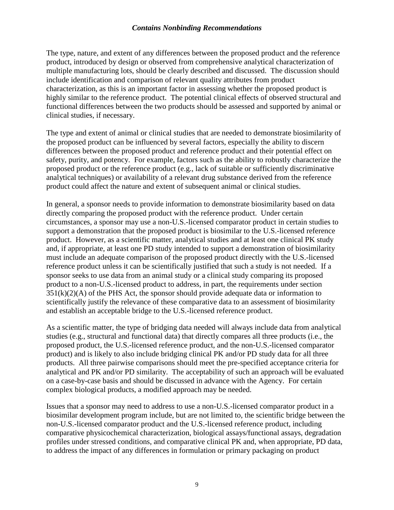The type, nature, and extent of any differences between the proposed product and the reference product, introduced by design or observed from comprehensive analytical characterization of multiple manufacturing lots, should be clearly described and discussed. The discussion should include identification and comparison of relevant quality attributes from product characterization, as this is an important factor in assessing whether the proposed product is highly similar to the reference product. The potential clinical effects of observed structural and functional differences between the two products should be assessed and supported by animal or clinical studies, if necessary.

The type and extent of animal or clinical studies that are needed to demonstrate biosimilarity of the proposed product can be influenced by several factors, especially the ability to discern differences between the proposed product and reference product and their potential effect on safety, purity, and potency. For example, factors such as the ability to robustly characterize the proposed product or the reference product (e.g., lack of suitable or sufficiently discriminative analytical techniques) or availability of a relevant drug substance derived from the reference product could affect the nature and extent of subsequent animal or clinical studies.

In general, a sponsor needs to provide information to demonstrate biosimilarity based on data directly comparing the proposed product with the reference product. Under certain circumstances, a sponsor may use a non-U.S.-licensed comparator product in certain studies to support a demonstration that the proposed product is biosimilar to the U.S.-licensed reference product. However, as a scientific matter, analytical studies and at least one clinical PK study and, if appropriate, at least one PD study intended to support a demonstration of biosimilarity must include an adequate comparison of the proposed product directly with the U.S.-licensed reference product unless it can be scientifically justified that such a study is not needed. If a sponsor seeks to use data from an animal study or a clinical study comparing its proposed product to a non-U.S.-licensed product to address, in part, the requirements under section  $351(k)(2)(A)$  of the PHS Act, the sponsor should provide adequate data or information to scientifically justify the relevance of these comparative data to an assessment of biosimilarity and establish an acceptable bridge to the U.S.-licensed reference product.

As a scientific matter, the type of bridging data needed will always include data from analytical studies (e.g., structural and functional data) that directly compares all three products (i.e., the proposed product, the U.S.-licensed reference product, and the non-U.S.-licensed comparator product) and is likely to also include bridging clinical PK and/or PD study data for all three products. All three pairwise comparisons should meet the pre-specified acceptance criteria for analytical and PK and/or PD similarity. The acceptability of such an approach will be evaluated on a case-by-case basis and should be discussed in advance with the Agency. For certain complex biological products, a modified approach may be needed.

Issues that a sponsor may need to address to use a non-U.S.-licensed comparator product in a biosimilar development program include, but are not limited to, the scientific bridge between the non-U.S.-licensed comparator product and the U.S.-licensed reference product, including comparative physicochemical characterization, biological assays/functional assays, degradation profiles under stressed conditions, and comparative clinical PK and, when appropriate, PD data, to address the impact of any differences in formulation or primary packaging on product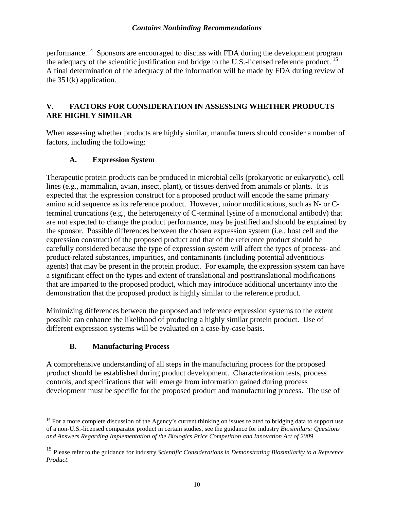performance.[14](#page-12-0) Sponsors are encouraged to discuss with FDA during the development program the adequacy of the scientific justification and bridge to the U.S.-licensed reference product. <sup>15</sup> A final determination of the adequacy of the information will be made by FDA during review of the 351(k) application.

#### **V. FACTORS FOR CONSIDERATION IN ASSESSING WHETHER PRODUCTS ARE HIGHLY SIMILAR**

When assessing whether products are highly similar, manufacturers should consider a number of factors, including the following:

#### **A. Expression System**

Therapeutic protein products can be produced in microbial cells (prokaryotic or eukaryotic), cell lines (e.g., mammalian, avian, insect, plant), or tissues derived from animals or plants. It is expected that the expression construct for a proposed product will encode the same primary amino acid sequence as its reference product. However, minor modifications, such as N- or Cterminal truncations (e.g., the heterogeneity of C-terminal lysine of a monoclonal antibody) that are not expected to change the product performance, may be justified and should be explained by the sponsor. Possible differences between the chosen expression system (i.e., host cell and the expression construct) of the proposed product and that of the reference product should be carefully considered because the type of expression system will affect the types of process- and product-related substances, impurities, and contaminants (including potential adventitious agents) that may be present in the protein product. For example, the expression system can have a significant effect on the types and extent of translational and posttranslational modifications that are imparted to the proposed product, which may introduce additional uncertainty into the demonstration that the proposed product is highly similar to the reference product.

Minimizing differences between the proposed and reference expression systems to the extent possible can enhance the likelihood of producing a highly similar protein product. Use of different expression systems will be evaluated on a case-by-case basis.

#### **B. Manufacturing Process**

A comprehensive understanding of all steps in the manufacturing process for the proposed product should be established during product development. Characterization tests, process controls, and specifications that will emerge from information gained during process development must be specific for the proposed product and manufacturing process. The use of

<span id="page-12-0"></span> $14$  For a more complete discussion of the Agency's current thinking on issues related to bridging data to support use of a non-U.S.-licensed comparator product in certain studies, see the guidance for industry *Biosimilars: Questions and Answers Regarding Implementation of the Biologics Price Competition and Innovation Act of 2009*.

<span id="page-12-1"></span><sup>15</sup> Please refer to the guidance for industry *Scientific Considerations in Demonstrating Biosimilarity to a Reference Product*.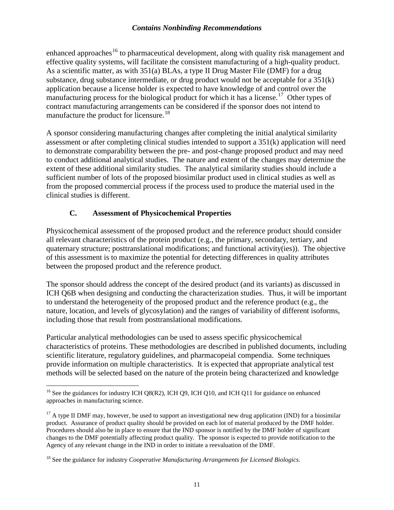enhanced approaches<sup>[16](#page-13-0)</sup> to pharmaceutical development, along with quality risk management and effective quality systems, will facilitate the consistent manufacturing of a high-quality product. As a scientific matter, as with 351(a) BLAs, a type II Drug Master File (DMF) for a drug substance, drug substance intermediate, or drug product would not be acceptable for a 351(k) application because a license holder is expected to have knowledge of and control over the manufacturing process for the biological product for which it has a license.<sup>17</sup> Other types of contract manufacturing arrangements can be considered if the sponsor does not intend to manufacture the product for licensure.<sup>[18](#page-13-2)</sup>

A sponsor considering manufacturing changes after completing the initial analytical similarity assessment or after completing clinical studies intended to support a 351(k) application will need to demonstrate comparability between the pre- and post-change proposed product and may need to conduct additional analytical studies. The nature and extent of the changes may determine the extent of these additional similarity studies. The analytical similarity studies should include a sufficient number of lots of the proposed biosimilar product used in clinical studies as well as from the proposed commercial process if the process used to produce the material used in the clinical studies is different.

#### **C. Assessment of Physicochemical Properties**

Physicochemical assessment of the proposed product and the reference product should consider all relevant characteristics of the protein product (e.g., the primary, secondary, tertiary, and quaternary structure; posttranslational modifications; and functional activity(ies)). The objective of this assessment is to maximize the potential for detecting differences in quality attributes between the proposed product and the reference product.

The sponsor should address the concept of the desired product (and its variants) as discussed in ICH Q6B when designing and conducting the characterization studies. Thus, it will be important to understand the heterogeneity of the proposed product and the reference product (e.g., the nature, location, and levels of glycosylation) and the ranges of variability of different isoforms, including those that result from posttranslational modifications.

Particular analytical methodologies can be used to assess specific physicochemical characteristics of proteins. These methodologies are described in published documents, including scientific literature, regulatory guidelines, and pharmacopeial compendia. Some techniques provide information on multiple characteristics. It is expected that appropriate analytical test methods will be selected based on the nature of the protein being characterized and knowledge

<span id="page-13-0"></span><sup>&</sup>lt;sup>16</sup> See the guidances for industry ICH Q8(R2), ICH Q9, ICH Q10, and ICH Q11 for guidance on enhanced approaches in manufacturing science.

<span id="page-13-1"></span><sup>&</sup>lt;sup>17</sup> A type II DMF may, however, be used to support an investigational new drug application (IND) for a biosimilar product. Assurance of product quality should be provided on each lot of material produced by the DMF holder. Procedures should also be in place to ensure that the IND sponsor is notified by the DMF holder of significant changes to the DMF potentially affecting product quality. The sponsor is expected to provide notification to the Agency of any relevant change in the IND in order to initiate a reevaluation of the DMF.

<span id="page-13-2"></span><sup>18</sup> See the guidance for industry *Cooperative Manufacturing Arrangements for Licensed Biologics*.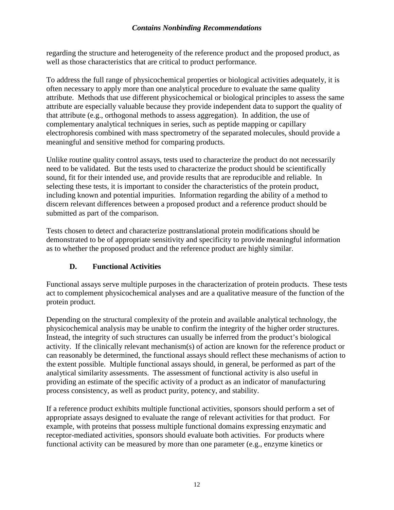regarding the structure and heterogeneity of the reference product and the proposed product, as well as those characteristics that are critical to product performance.

To address the full range of physicochemical properties or biological activities adequately, it is often necessary to apply more than one analytical procedure to evaluate the same quality attribute. Methods that use different physicochemical or biological principles to assess the same attribute are especially valuable because they provide independent data to support the quality of that attribute (e.g., orthogonal methods to assess aggregation). In addition, the use of complementary analytical techniques in series, such as peptide mapping or capillary electrophoresis combined with mass spectrometry of the separated molecules, should provide a meaningful and sensitive method for comparing products.

Unlike routine quality control assays, tests used to characterize the product do not necessarily need to be validated. But the tests used to characterize the product should be scientifically sound, fit for their intended use, and provide results that are reproducible and reliable. In selecting these tests, it is important to consider the characteristics of the protein product, including known and potential impurities. Information regarding the ability of a method to discern relevant differences between a proposed product and a reference product should be submitted as part of the comparison.

Tests chosen to detect and characterize posttranslational protein modifications should be demonstrated to be of appropriate sensitivity and specificity to provide meaningful information as to whether the proposed product and the reference product are highly similar.

#### **D. Functional Activities**

Functional assays serve multiple purposes in the characterization of protein products. These tests act to complement physicochemical analyses and are a qualitative measure of the function of the protein product.

Depending on the structural complexity of the protein and available analytical technology, the physicochemical analysis may be unable to confirm the integrity of the higher order structures. Instead, the integrity of such structures can usually be inferred from the product's biological activity. If the clinically relevant mechanism(s) of action are known for the reference product or can reasonably be determined, the functional assays should reflect these mechanisms of action to the extent possible. Multiple functional assays should, in general, be performed as part of the analytical similarity assessments. The assessment of functional activity is also useful in providing an estimate of the specific activity of a product as an indicator of manufacturing process consistency, as well as product purity, potency, and stability.

If a reference product exhibits multiple functional activities, sponsors should perform a set of appropriate assays designed to evaluate the range of relevant activities for that product. For example, with proteins that possess multiple functional domains expressing enzymatic and receptor-mediated activities, sponsors should evaluate both activities. For products where functional activity can be measured by more than one parameter (e.g., enzyme kinetics or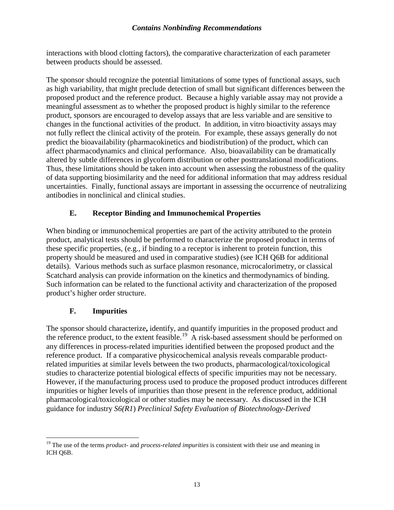interactions with blood clotting factors), the comparative characterization of each parameter between products should be assessed.

The sponsor should recognize the potential limitations of some types of functional assays, such as high variability, that might preclude detection of small but significant differences between the proposed product and the reference product. Because a highly variable assay may not provide a meaningful assessment as to whether the proposed product is highly similar to the reference product, sponsors are encouraged to develop assays that are less variable and are sensitive to changes in the functional activities of the product. In addition, in vitro bioactivity assays may not fully reflect the clinical activity of the protein. For example, these assays generally do not predict the bioavailability (pharmacokinetics and biodistribution) of the product, which can affect pharmacodynamics and clinical performance. Also, bioavailability can be dramatically altered by subtle differences in glycoform distribution or other posttranslational modifications. Thus, these limitations should be taken into account when assessing the robustness of the quality of data supporting biosimilarity and the need for additional information that may address residual uncertainties. Finally, functional assays are important in assessing the occurrence of neutralizing antibodies in nonclinical and clinical studies.

#### **E. Receptor Binding and Immunochemical Properties**

When binding or immunochemical properties are part of the activity attributed to the protein product, analytical tests should be performed to characterize the proposed product in terms of these specific properties, (e.g., if binding to a receptor is inherent to protein function, this property should be measured and used in comparative studies) (see ICH Q6B for additional details). Various methods such as surface plasmon resonance, microcalorimetry, or classical Scatchard analysis can provide information on the kinetics and thermodynamics of binding. Such information can be related to the functional activity and characterization of the proposed product's higher order structure.

#### **F. Impurities**

The sponsor should characterize**,** identify, and quantify impurities in the proposed product and the reference product, to the extent feasible.[19](#page-15-0)A risk-based assessment should be performed on any differences in process-related impurities identified between the proposed product and the reference product. If a comparative physicochemical analysis reveals comparable productrelated impurities at similar levels between the two products, pharmacological/toxicological studies to characterize potential biological effects of specific impurities may not be necessary. However, if the manufacturing process used to produce the proposed product introduces different impurities or higher levels of impurities than those present in the reference product, additional pharmacological/toxicological or other studies may be necessary. As discussed in the ICH guidance for industry *S6(R1*) *Preclinical Safety Evaluation of Biotechnology-Derived* 

<span id="page-15-0"></span><sup>&</sup>lt;sup>19</sup> The use of the terms *product*- and *process-related impurities* is consistent with their use and meaning in ICH Q6B.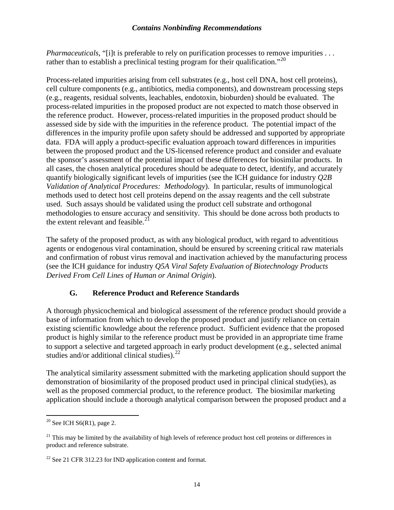*Pharmaceuticals*, "[i]t is preferable to rely on purification processes to remove impurities . . . rather than to establish a preclinical testing program for their qualification."<sup>[20](#page-16-0)</sup>

Process-related impurities arising from cell substrates (e.g., host cell DNA, host cell proteins), cell culture components (e.g., antibiotics, media components), and downstream processing steps (e.g., reagents, residual solvents, leachables, endotoxin, bioburden) should be evaluated. The process-related impurities in the proposed product are not expected to match those observed in the reference product. However, process-related impurities in the proposed product should be assessed side by side with the impurities in the reference product. The potential impact of the differences in the impurity profile upon safety should be addressed and supported by appropriate data. FDA will apply a product-specific evaluation approach toward differences in impurities between the proposed product and the US-licensed reference product and consider and evaluate the sponsor's assessment of the potential impact of these differences for biosimilar products. In all cases, the chosen analytical procedures should be adequate to detect, identify, and accurately quantify biologically significant levels of impurities (see the ICH guidance for industry *Q2B Validation of Analytical Procedures: Methodology*). In particular, results of immunological methods used to detect host cell proteins depend on the assay reagents and the cell substrate used. Such assays should be validated using the product cell substrate and orthogonal methodologies to ensure accuracy and sensitivity. This should be done across both products to the extent relevant and feasible. $^{21}$  $^{21}$  $^{21}$ 

The safety of the proposed product, as with any biological product, with regard to adventitious agents or endogenous viral contamination, should be ensured by screening critical raw materials and confirmation of robust virus removal and inactivation achieved by the manufacturing process (see the ICH guidance for industry *Q5A Viral Safety Evaluation of Biotechnology Products Derived From Cell Lines of Human or Animal Origin*).

#### **G. Reference Product and Reference Standards**

A thorough physicochemical and biological assessment of the reference product should provide a base of information from which to develop the proposed product and justify reliance on certain existing scientific knowledge about the reference product. Sufficient evidence that the proposed product is highly similar to the reference product must be provided in an appropriate time frame to support a selective and targeted approach in early product development (e.g., selected animal studies and/or additional clinical studies). $^{22}$  $^{22}$  $^{22}$ 

The analytical similarity assessment submitted with the marketing application should support the demonstration of biosimilarity of the proposed product used in principal clinical study(ies), as well as the proposed commercial product, to the reference product. The biosimilar marketing application should include a thorough analytical comparison between the proposed product and a

<span id="page-16-0"></span><sup>&</sup>lt;sup>20</sup> See ICH S6(R1), page 2.

<span id="page-16-1"></span> $21$  This may be limited by the availability of high levels of reference product host cell proteins or differences in product and reference substrate.

<span id="page-16-2"></span> $22$  See 21 CFR 312.23 for IND application content and format.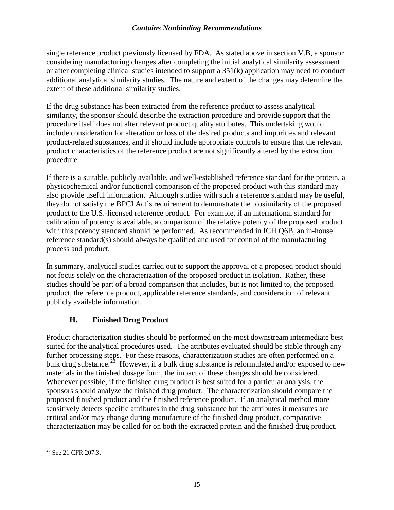single reference product previously licensed by FDA. As stated above in section V.B, a sponsor considering manufacturing changes after completing the initial analytical similarity assessment or after completing clinical studies intended to support a 351(k) application may need to conduct additional analytical similarity studies. The nature and extent of the changes may determine the extent of these additional similarity studies.

If the drug substance has been extracted from the reference product to assess analytical similarity, the sponsor should describe the extraction procedure and provide support that the procedure itself does not alter relevant product quality attributes.This undertaking would include consideration for alteration or loss of the desired products and impurities and relevant product-related substances, and it should include appropriate controls to ensure that the relevant product characteristics of the reference product are not significantly altered by the extraction procedure.

If there is a suitable, publicly available, and well-established reference standard for the protein, a physicochemical and/or functional comparison of the proposed product with this standard may also provide useful information. Although studies with such a reference standard may be useful, they do not satisfy the BPCI Act's requirement to demonstrate the biosimilarity of the proposed product to the U.S.-licensed reference product. For example, if an international standard for calibration of potency is available, a comparison of the relative potency of the proposed product with this potency standard should be performed. As recommended in ICH Q6B, an in-house reference standard(s) should always be qualified and used for control of the manufacturing process and product.

In summary, analytical studies carried out to support the approval of a proposed product should not focus solely on the characterization of the proposed product in isolation. Rather, these studies should be part of a broad comparison that includes, but is not limited to, the proposed product, the reference product, applicable reference standards, and consideration of relevant publicly available information.

#### **H. Finished Drug Product**

Product characterization studies should be performed on the most downstream intermediate best suited for the analytical procedures used. The attributes evaluated should be stable through any further processing steps. For these reasons, characterization studies are often performed on a bulk drug substance.<sup>23</sup> However, if a bulk drug substance is reformulated and/or exposed to new materials in the finished dosage form, the impact of these changes should be considered. Whenever possible, if the finished drug product is best suited for a particular analysis, the sponsors should analyze the finished drug product. The characterization should compare the proposed finished product and the finished reference product. If an analytical method more sensitively detects specific attributes in the drug substance but the attributes it measures are critical and/or may change during manufacture of the finished drug product, comparative characterization may be called for on both the extracted protein and the finished drug product.

<span id="page-17-0"></span><sup>&</sup>lt;sup>23</sup> See 21 CFR 207.3.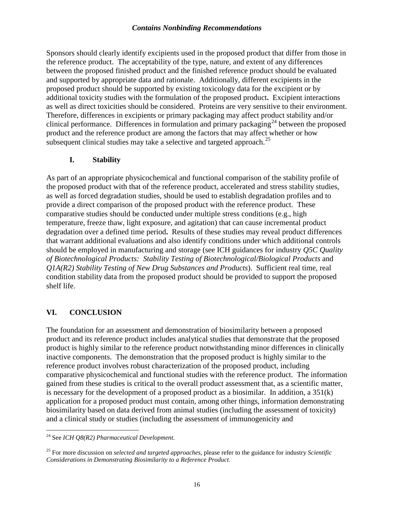Sponsors should clearly identify excipients used in the proposed product that differ from those in the reference product. The acceptability of the type, nature, and extent of any differences between the proposed finished product and the finished reference product should be evaluated and supported by appropriate data and rationale. Additionally, different excipients in the proposed product should be supported by existing toxicology data for the excipient or by additional toxicity studies with the formulation of the proposed product**.** Excipient interactions as well as direct toxicities should be considered. Proteins are very sensitive to their environment. Therefore, differences in excipients or primary packaging may affect product stability and/or clinical performance. Differences in formulation and primary packaging<sup>[24](#page-18-0)</sup> between the proposed product and the reference product are among the factors that may affect whether or how subsequent clinical studies may take a selective and targeted approach.<sup>[25](#page-18-1)</sup>

#### **I. Stability**

As part of an appropriate physicochemical and functional comparison of the stability profile of the proposed product with that of the reference product, accelerated and stress stability studies, as well as forced degradation studies, should be used to establish degradation profiles and to provide a direct comparison of the proposed product with the reference product. These comparative studies should be conducted under multiple stress conditions (e.g., high temperature, freeze thaw, light exposure, and agitation) that can cause incremental product degradation over a defined time period**.** Results of these studies may reveal product differences that warrant additional evaluations and also identify conditions under which additional controls should be employed in manufacturing and storage (see ICH guidances for industry *Q5C Quality of Biotechnological Products: Stability Testing of Biotechnological/Biological Products* and *Q1A(R2) Stability Testing of New Drug Substances and Products*). Sufficient real time, real condition stability data from the proposed product should be provided to support the proposed shelf life.

#### **VI. CONCLUSION**

The foundation for an assessment and demonstration of biosimilarity between a proposed product and its reference product includes analytical studies that demonstrate that the proposed product is highly similar to the reference product notwithstanding minor differences in clinically inactive components. The demonstration that the proposed product is highly similar to the reference product involves robust characterization of the proposed product, including comparative physicochemical and functional studies with the reference product. The information gained from these studies is critical to the overall product assessment that, as a scientific matter, is necessary for the development of a proposed product as a biosimilar. In addition, a  $351(k)$ application for a proposed product must contain, among other things, information demonstrating biosimilarity based on data derived from animal studies (including the assessment of toxicity) and a clinical study or studies (including the assessment of immunogenicity and

<span id="page-18-0"></span> <sup>24</sup> See *ICH Q8(R2) Pharmaceutical Development.*

<span id="page-18-1"></span><sup>25</sup> For more discussion on *selected and targeted approaches*, please refer to the guidance for industry *Scientific Considerations in Demonstrating Biosimilarity to a Reference Product*.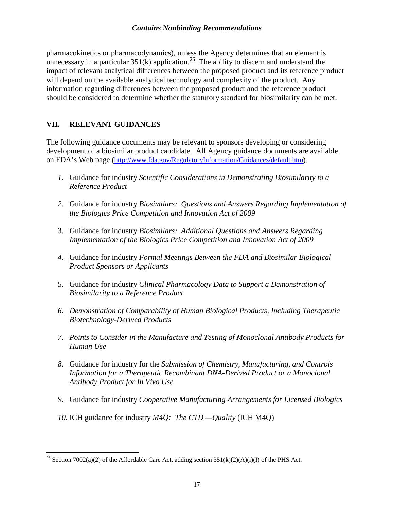pharmacokinetics or pharmacodynamics), unless the Agency determines that an element is unnecessary in a particular  $351(k)$  application.<sup>[26](#page-19-0)</sup> The ability to discern and understand the impact of relevant analytical differences between the proposed product and its reference product will depend on the available analytical technology and complexity of the product. Any information regarding differences between the proposed product and the reference product should be considered to determine whether the statutory standard for biosimilarity can be met.

#### **VII. RELEVANT GUIDANCES**

The following guidance documents may be relevant to sponsors developing or considering development of a biosimilar product candidate. All Agency guidance documents are available on FDA's Web page [\(http://www.fda.gov/RegulatoryInformation/Guidances/default.htm\)](http://www.fda.gov/RegulatoryInformation/Guidances/default.htm).

- *1.* Guidance for industry *Scientific Considerations in Demonstrating Biosimilarity to a Reference Product*
- *2.* Guidance for industry *Biosimilars: Questions and Answers Regarding Implementation of the Biologics Price Competition and Innovation Act of 2009*
- 3. Guidance for industry *Biosimilars: Additional Questions and Answers Regarding Implementation of the Biologics Price Competition and Innovation Act of 2009*
- *4.* Guidance for industry *Formal Meetings Between the FDA and Biosimilar Biological Product Sponsors or Applicants*
- 5. Guidance for industry *Clinical Pharmacology Data to Support a Demonstration of Biosimilarity to a Reference Product*
- *6. Demonstration of Comparability of Human Biological Products, Including Therapeutic Biotechnology-Derived Products*
- *7. Points to Consider in the Manufacture and Testing of Monoclonal Antibody Products for Human Use*
- *8.* Guidance for industry for the *Submission of Chemistry, Manufacturing, and Controls Information for a Therapeutic Recombinant DNA-Derived Product or a Monoclonal Antibody Product for In Vivo Use*
- *9.* Guidance for industry *Cooperative Manufacturing Arrangements for Licensed Biologics*
- *10.* ICH guidance for industry *M4Q: The CTD —Quality* (ICH M4Q)

<span id="page-19-0"></span><sup>&</sup>lt;sup>26</sup> Section 7002(a)(2) of the Affordable Care Act, adding section  $351(k)(2)(A)(i)(I)$  of the PHS Act.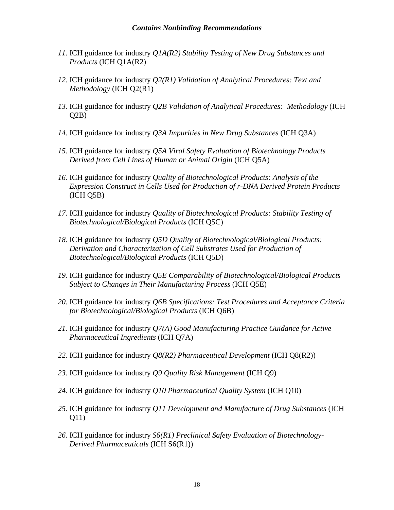- *11.* ICH guidance for industry *Q1A(R2) Stability Testing of New Drug Substances and Products* (ICH Q1A(R2)
- *12.* ICH guidance for industry *Q2(R1) Validation of Analytical Procedures: Text and Methodology* (ICH Q2(R1)
- *13.* ICH guidance for industry *Q2B Validation of Analytical Procedures: Methodology* (ICH Q2B)
- *14.* ICH guidance for industry *Q3A Impurities in New Drug Substances* (ICH Q3A)
- *15.* ICH guidance for industry *Q5A Viral Safety Evaluation of Biotechnology Products Derived from Cell Lines of Human or Animal Origin* (ICH Q5A)
- *16.* ICH guidance for industry *Quality of Biotechnological Products: Analysis of the Expression Construct in Cells Used for Production of r-DNA Derived Protein Products* (ICH Q5B)
- *17.* ICH guidance for industry *Quality of Biotechnological Products: Stability Testing of Biotechnological/Biological Products* (ICH Q5C)
- *18.* ICH guidance for industry *Q5D Quality of Biotechnological/Biological Products: Derivation and Characterization of Cell Substrates Used for Production of Biotechnological/Biological Products* (ICH Q5D)
- *19.* ICH guidance for industry *Q5E Comparability of Biotechnological/Biological Products Subject to Changes in Their Manufacturing Process* (ICH Q5E)
- *20.* ICH guidance for industry *Q6B Specifications: Test Procedures and Acceptance Criteria for Biotechnological/Biological Products* (ICH Q6B)
- *21.* ICH guidance for industry *Q7(A) Good Manufacturing Practice Guidance for Active Pharmaceutical Ingredients* (ICH Q7A)
- *22.* ICH guidance for industry *Q8(R2) Pharmaceutical Development* (ICH Q8(R2))
- *23.* ICH guidance for industry *Q9 Quality Risk Management* (ICH Q9)
- *24.* ICH guidance for industry *Q10 Pharmaceutical Quality System* (ICH Q10)
- *25.* ICH guidance for industry *Q11 Development and Manufacture of Drug Substances* (ICH Q11)
- *26.* ICH guidance for industry *S6(R1) Preclinical Safety Evaluation of Biotechnology-Derived Pharmaceuticals* (ICH S6(R1))